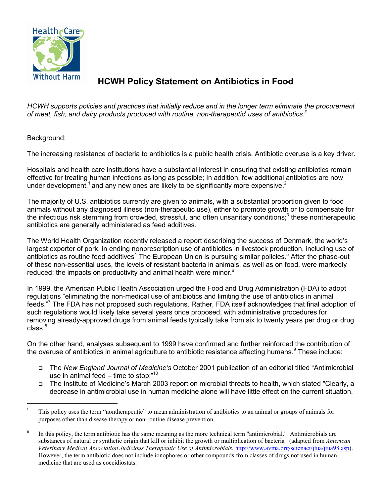

## **HCWH Policy Statement on Antibiotics in Food**

*HCWH supports policies and practices that initially reduce and in the longer term eliminate the procurement*  of meat, fish, and dairy products produced with routine, non-therapeutic<sup>i</sup> uses of antibiotics.<sup>ii</sup>

## Background:

The increasing resistance of bacteria to antibiotics is a public health crisis. Antibiotic overuse is a key driver.

Hospitals and health care institutions have a substantial interest in ensuring that existing antibiotics remain effective for treating human infections as long as possible; In addition, few additional antibiotics are now under development,<sup>[1](#page-1-0)</sup> and any new ones are likely to be significantly more expensive.<sup>[2](#page-1-0)</sup>

The majority of U.S. antibiotics currently are given to animals, with a substantial proportion given to food animals without any diagnosed illness (non-therapeutic use), either to promote growth or to compensate for the infectious risk stemming from crowded, stressful, and often unsanitary conditions;<sup>[3](#page-1-0)</sup> these nontherapeutic antibiotics are generally administered as feed additives.

The World Health Organization recently released a report describing the success of Denmark, the world's largest exporter of pork, in ending nonprescription use of antibiotics in livestock production, including use of antibiotics as routine feed additives<sup>4</sup> The European Union is pursuing similar policies.<sup>[5](#page-1-0)</sup> After the phase-out of these non-essential uses, the levels of resistant bacteria in animals, as well as on food, were markedly reduced; the impacts on productivity and animal health were minor.<sup>[6](#page-1-0)</sup>

In 1999, the American Public Health Association urged the Food and Drug Administration (FDA) to adopt regulations "eliminating the non-medical use of antibiotics and limiting the use of antibiotics in animal feeds."<sup>[7](#page-1-0)</sup> The FDA has not proposed such regulations. Rather, FDA itself acknowledges that final adoption of such regulations would likely take several years once proposed, with administrative procedures for removing already-approved drugs from animal feeds typically take from six to twenty years per drug or drug  $class.<sup>8</sup>$  $class.<sup>8</sup>$  $class.<sup>8</sup>$ 

On the other hand, analyses subsequent to 1999 have confirmed and further reinforced the contribution of the overuse of antibiotics in animal agriculture to antibiotic resistance affecting humans.<sup>[9](#page-1-0)</sup> These include:

- The *New England Journal of Medicine's* October 2001 publication of an editorial titled "Antimicrobial use in animal feed – time to stop;" $10$
- The Institute of Medicine's March 2003 report on microbial threats to health, which stated "Clearly, a decrease in antimicrobial use in human medicine alone will have little effect on the current situation.

<sup>i</sup> This policy uses the term "nontherapeutic" to mean administration of antibiotics to an animal or groups of animals for purposes other than disease therapy or non-routine disease prevention.

<sup>&</sup>lt;sup>ii</sup> In this policy, the term antibiotic has the same meaning as the more technical term "antimicrobial." Antimicrobials are substances of natural or synthetic origin that kill or inhibit the growth or multiplication of bacteria (adapted from *American Veterinary Medical Association Judicious Therapeutic Use of Antimicrobials*, [http://www.avma.org/scienact/jtua/jtua98.asp\)](http://www.avma.org/scienact/jtua/jtua98.asp). However, the term antibiotic does not include ionophores or other compounds from classes of drugs not used in human medicine that are used as coccidiostats.